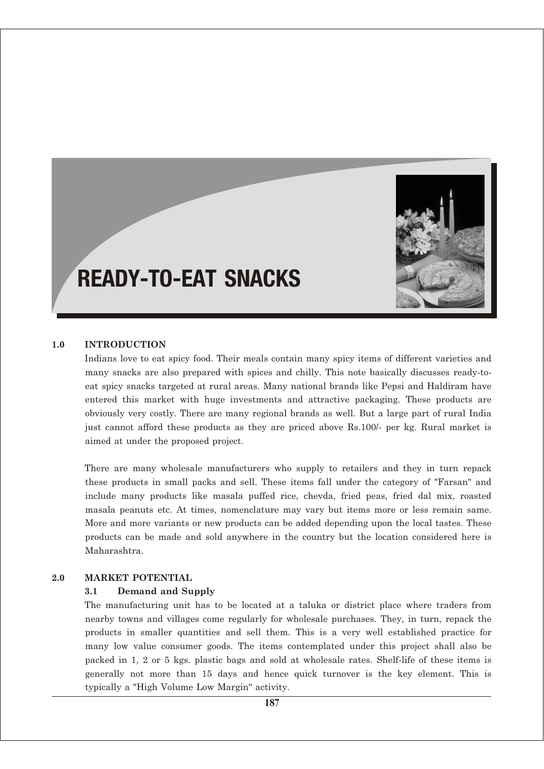

# READY-TO-EAT SNACKS

#### **1.0 INTRODUCTION**

Indians love to eat spicy food. Their meals contain many spicy items of different varieties and many snacks are also prepared with spices and chilly. This note basically discusses ready-toeat spicy snacks targeted at rural areas. Many national brands like Pepsi and Haldiram have entered this market with huge investments and attractive packaging. These products are obviously very costly. There are many regional brands as well. But a large part of rural India just cannot afford these products as they are priced above Rs.100/- per kg. Rural market is aimed at under the proposed project.

There are many wholesale manufacturers who supply to retailers and they in turn repack these products in small packs and sell. These items fall under the category of "Farsan" and include many products like masala puffed rice, chevda, fried peas, fried dal mix, roasted masala peanuts etc. At times, nomenclature may vary but items more or less remain same. More and more variants or new products can be added depending upon the local tastes. These products can be made and sold anywhere in the country but the location considered here is Maharashtra.

#### **2.0 MARKET POTENTIAL**

#### **3.1 Demand and Supply**

The manufacturing unit has to be located at a taluka or district place where traders from nearby towns and villages come regularly for wholesale purchases. They, in turn, repack the products in smaller quantities and sell them. This is a very well established practice for many low value consumer goods. The items contemplated under this project shall also be packed in 1, 2 or 5 kgs. plastic bags and sold at wholesale rates. Shelf-life of these items is generally not more than 15 days and hence quick turnover is the key element. This is typically a "High Volume Low Margin" activity.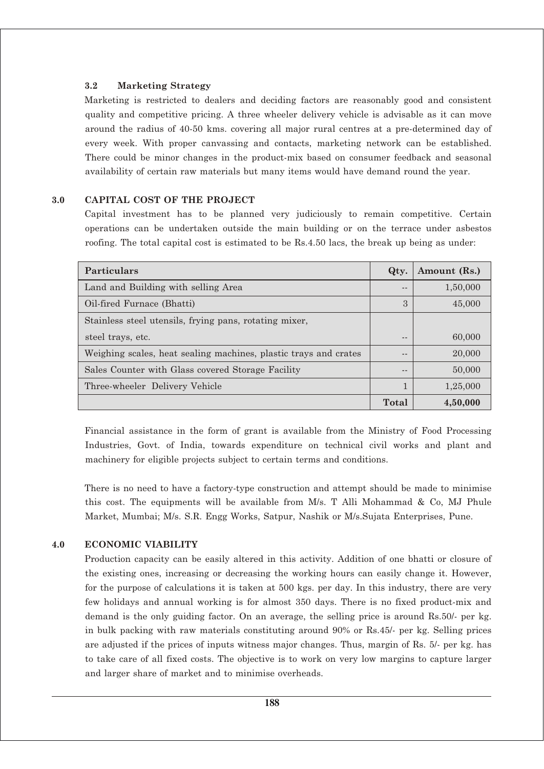#### **3.2 Marketing Strategy**

Marketing is restricted to dealers and deciding factors are reasonably good and consistent quality and competitive pricing. A three wheeler delivery vehicle is advisable as it can move around the radius of 40-50 kms. covering all major rural centres at a pre-determined day of every week. With proper canvassing and contacts, marketing network can be established. There could be minor changes in the product-mix based on consumer feedback and seasonal availability of certain raw materials but many items would have demand round the year.

## **3.0 CAPITAL COST OF THE PROJECT**

Capital investment has to be planned very judiciously to remain competitive. Certain operations can be undertaken outside the main building or on the terrace under asbestos roofing. The total capital cost is estimated to be Rs.4.50 lacs, the break up being as under:

| <b>Particulars</b>                                               | Qty.  | Amount (Rs.) |
|------------------------------------------------------------------|-------|--------------|
| Land and Building with selling Area                              | $ -$  | 1,50,000     |
| Oil-fired Furnace (Bhatti)                                       | 3     | 45,000       |
| Stainless steel utensils, frying pans, rotating mixer,           |       |              |
| steel trays, etc.                                                | --    | 60,000       |
| Weighing scales, heat sealing machines, plastic trays and crates | - -   | 20,000       |
| Sales Counter with Glass covered Storage Facility                | --    | 50,000       |
| Three-wheeler Delivery Vehicle                                   | 1     | 1,25,000     |
|                                                                  | Total | 4,50,000     |

Financial assistance in the form of grant is available from the Ministry of Food Processing Industries, Govt. of India, towards expenditure on technical civil works and plant and machinery for eligible projects subject to certain terms and conditions.

There is no need to have a factory-type construction and attempt should be made to minimise this cost. The equipments will be available from M/s. T Alli Mohammad & Co, MJ Phule Market, Mumbai; M/s. S.R. Engg Works, Satpur, Nashik or M/s.Sujata Enterprises, Pune.

## **4.0 ECONOMIC VIABILITY**

Production capacity can be easily altered in this activity. Addition of one bhatti or closure of the existing ones, increasing or decreasing the working hours can easily change it. However, for the purpose of calculations it is taken at 500 kgs. per day. In this industry, there are very few holidays and annual working is for almost 350 days. There is no fixed product-mix and demand is the only guiding factor. On an average, the selling price is around Rs.50/- per kg. in bulk packing with raw materials constituting around 90% or Rs.45/- per kg. Selling prices are adjusted if the prices of inputs witness major changes. Thus, margin of Rs. 5/- per kg. has to take care of all fixed costs. The objective is to work on very low margins to capture larger and larger share of market and to minimise overheads.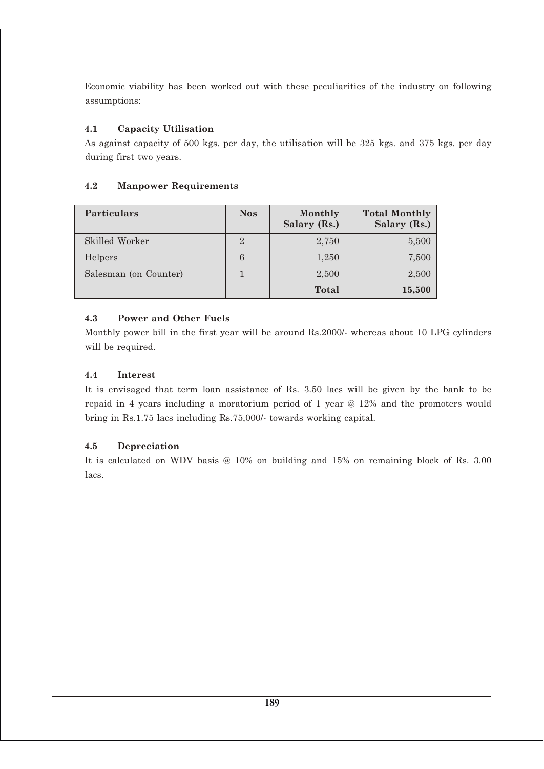Economic viability has been worked out with these peculiarities of the industry on following assumptions:

# **4.1 Capacity Utilisation**

As against capacity of 500 kgs. per day, the utilisation will be 325 kgs. and 375 kgs. per day during first two years.

# **4.2 Manpower Requirements**

| <b>Particulars</b>    | <b>Nos</b> | Monthly<br>Salary (Rs.) | <b>Total Monthly</b><br>Salary (Rs.) |
|-----------------------|------------|-------------------------|--------------------------------------|
| Skilled Worker        | 2          | 2,750                   | 5,500                                |
| Helpers               | 6          | 1,250                   | 7,500                                |
| Salesman (on Counter) |            | 2,500                   | 2,500                                |
|                       |            | <b>Total</b>            | 15,500                               |

# **4.3 Power and Other Fuels**

Monthly power bill in the first year will be around Rs.2000/- whereas about 10 LPG cylinders will be required.

## **4.4 Interest**

It is envisaged that term loan assistance of Rs. 3.50 lacs will be given by the bank to be repaid in 4 years including a moratorium period of 1 year @ 12% and the promoters would bring in Rs.1.75 lacs including Rs.75,000/- towards working capital.

## **4.5 Depreciation**

It is calculated on WDV basis @ 10% on building and 15% on remaining block of Rs. 3.00 lacs.